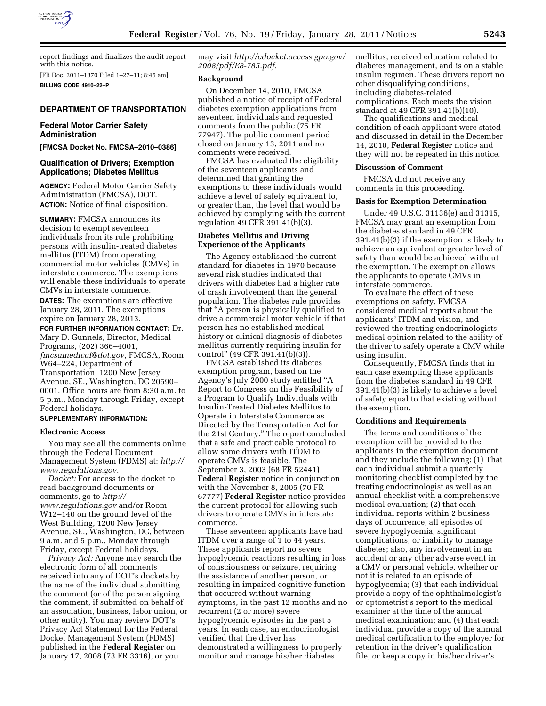

report findings and finalizes the audit report with this notice.

[FR Doc. 2011–1870 Filed 1–27–11; 8:45 am] **BILLING CODE 4910–22–P** 

#### **DEPARTMENT OF TRANSPORTATION**

# **Federal Motor Carrier Safety Administration**

**[FMCSA Docket No. FMCSA–2010–0386]** 

# **Qualification of Drivers; Exemption Applications; Diabetes Mellitus**

**AGENCY:** Federal Motor Carrier Safety Administration (FMCSA), DOT. **ACTION:** Notice of final disposition.

**SUMMARY:** FMCSA announces its decision to exempt seventeen individuals from its rule prohibiting persons with insulin-treated diabetes mellitus (ITDM) from operating commercial motor vehicles (CMVs) in interstate commerce. The exemptions will enable these individuals to operate CMVs in interstate commerce.

**DATES:** The exemptions are effective January 28, 2011. The exemptions expire on January 28, 2013.

**FOR FURTHER INFORMATION CONTACT:** Dr. Mary D. Gunnels, Director, Medical Programs, (202) 366–4001, *[fmcsamedical@dot.gov,](mailto:fmcsamedical@dot.gov)* FMCSA, Room W64–224, Department of Transportation, 1200 New Jersey Avenue, SE., Washington, DC 20590– 0001. Office hours are from 8:30 a.m. to 5 p.m., Monday through Friday, except Federal holidays.

# **SUPPLEMENTARY INFORMATION:**

#### **Electronic Access**

You may see all the comments online through the Federal Document Management System (FDMS) at: *[http://](http://www.regulations.gov) [www.regulations.gov.](http://www.regulations.gov)* 

*Docket:* For access to the docket to read background documents or comments, go to *[http://](http://www.regulations.gov) [www.regulations.gov](http://www.regulations.gov)* and/or Room W12–140 on the ground level of the West Building, 1200 New Jersey Avenue, SE., Washington, DC, between 9 a.m. and 5 p.m., Monday through Friday, except Federal holidays.

*Privacy Act:* Anyone may search the electronic form of all comments received into any of DOT's dockets by the name of the individual submitting the comment (or of the person signing the comment, if submitted on behalf of an association, business, labor union, or other entity). You may review DOT's Privacy Act Statement for the Federal Docket Management System (FDMS) published in the **Federal Register** on January 17, 2008 (73 FR 3316), or you

may visit *[http://edocket.access.gpo.gov/](http://edocket.access.gpo.gov/2008/pdf/E8-785.pdf)  [2008/pdf/E8-785.pdf.](http://edocket.access.gpo.gov/2008/pdf/E8-785.pdf)* 

### **Background**

On December 14, 2010, FMCSA published a notice of receipt of Federal diabetes exemption applications from seventeen individuals and requested comments from the public (75 FR 77947). The public comment period closed on January 13, 2011 and no comments were received.

FMCSA has evaluated the eligibility of the seventeen applicants and determined that granting the exemptions to these individuals would achieve a level of safety equivalent to, or greater than, the level that would be achieved by complying with the current regulation 49 CFR 391.41(b)(3).

#### **Diabetes Mellitus and Driving Experience of the Applicants**

The Agency established the current standard for diabetes in 1970 because several risk studies indicated that drivers with diabetes had a higher rate of crash involvement than the general population. The diabetes rule provides that ''A person is physically qualified to drive a commercial motor vehicle if that person has no established medical history or clinical diagnosis of diabetes mellitus currently requiring insulin for control'' (49 CFR 391.41(b)(3)).

FMCSA established its diabetes exemption program, based on the Agency's July 2000 study entitled ''A Report to Congress on the Feasibility of a Program to Qualify Individuals with Insulin-Treated Diabetes Mellitus to Operate in Interstate Commerce as Directed by the Transportation Act for the 21st Century.'' The report concluded that a safe and practicable protocol to allow some drivers with ITDM to operate CMVs is feasible. The September 3, 2003 (68 FR 52441) **Federal Register** notice in conjunction with the November 8, 2005 (70 FR 67777) **Federal Register** notice provides the current protocol for allowing such drivers to operate CMVs in interstate commerce.

These seventeen applicants have had ITDM over a range of 1 to 44 years. These applicants report no severe hypoglycemic reactions resulting in loss of consciousness or seizure, requiring the assistance of another person, or resulting in impaired cognitive function that occurred without warning symptoms, in the past 12 months and no recurrent (2 or more) severe hypoglycemic episodes in the past 5 years. In each case, an endocrinologist verified that the driver has demonstrated a willingness to properly monitor and manage his/her diabetes

mellitus, received education related to diabetes management, and is on a stable insulin regimen. These drivers report no other disqualifying conditions, including diabetes-related complications. Each meets the vision standard at 49 CFR 391.41(b)(10).

The qualifications and medical condition of each applicant were stated and discussed in detail in the December 14, 2010, **Federal Register** notice and they will not be repeated in this notice.

#### **Discussion of Comment**

FMCSA did not receive any comments in this proceeding.

#### **Basis for Exemption Determination**

Under 49 U.S.C. 31136(e) and 31315, FMCSA may grant an exemption from the diabetes standard in 49 CFR 391.41(b)(3) if the exemption is likely to achieve an equivalent or greater level of safety than would be achieved without the exemption. The exemption allows the applicants to operate CMVs in interstate commerce.

To evaluate the effect of these exemptions on safety, FMCSA considered medical reports about the applicants' ITDM and vision, and reviewed the treating endocrinologists' medical opinion related to the ability of the driver to safely operate a CMV while using insulin.

Consequently, FMCSA finds that in each case exempting these applicants from the diabetes standard in 49 CFR 391.41(b)(3) is likely to achieve a level of safety equal to that existing without the exemption.

### **Conditions and Requirements**

The terms and conditions of the exemption will be provided to the applicants in the exemption document and they include the following: (1) That each individual submit a quarterly monitoring checklist completed by the treating endocrinologist as well as an annual checklist with a comprehensive medical evaluation; (2) that each individual reports within 2 business days of occurrence, all episodes of severe hypoglycemia, significant complications, or inability to manage diabetes; also, any involvement in an accident or any other adverse event in a CMV or personal vehicle, whether or not it is related to an episode of hypoglycemia; (3) that each individual provide a copy of the ophthalmologist's or optometrist's report to the medical examiner at the time of the annual medical examination; and (4) that each individual provide a copy of the annual medical certification to the employer for retention in the driver's qualification file, or keep a copy in his/her driver's